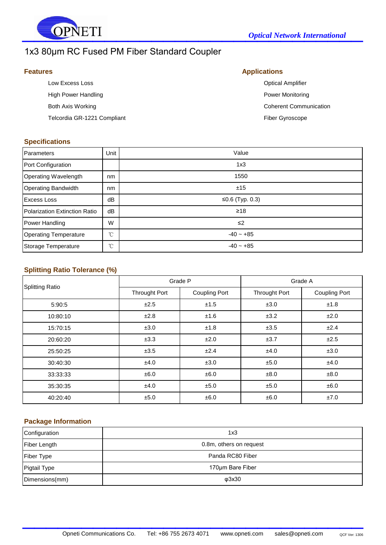

# 1x3 80μm RC Fused PM Fiber Standard Coupler

| <b>Features</b>             | <b>Applications</b>           |  |
|-----------------------------|-------------------------------|--|
| Low Excess Loss             | <b>Optical Amplifier</b>      |  |
| High Power Handling         | Power Monitoring              |  |
| Both Axis Working           | <b>Coherent Communication</b> |  |
| Telcordia GR-1221 Compliant | <b>Fiber Gyroscope</b>        |  |
|                             |                               |  |

#### **Specifications**

| Parameters                    | Unit         | Value           |
|-------------------------------|--------------|-----------------|
| Port Configuration            |              | 1x3             |
| Operating Wavelength          | nm           | 1550            |
| <b>Operating Bandwidth</b>    | nm           | ±15             |
| <b>Excess Loss</b>            | dB           | ≤0.6 (Typ. 0.3) |
| Polarization Extinction Ratio | dB           | $\geq 18$       |
| Power Handling                | W            | $\leq$          |
| <b>Operating Temperature</b>  | $^{\circ}$ C | $-40 - +85$     |
| Storage Temperature           | °C           | $-40 - +85$     |

## **Splitting Ratio Tolerance (%)**

| <b>Splitting Ratio</b> | Grade P              |                      | Grade A              |                      |
|------------------------|----------------------|----------------------|----------------------|----------------------|
|                        | <b>Throught Port</b> | <b>Coupling Port</b> | <b>Throught Port</b> | <b>Coupling Port</b> |
| 5:90:5                 | ±2.5                 | ±1.5                 | ±3.0                 | ±1.8                 |
| 10:80:10               | ±2.8                 | ±1.6                 | ±3.2                 | ±2.0                 |
| 15:70:15               | ±3.0                 | ±1.8                 | ±3.5                 | ±2.4                 |
| 20:60:20               | ±3.3                 | ±2.0                 | ±3.7                 | ±2.5                 |
| 25:50:25               | ±3.5                 | ±2.4                 | ±4.0                 | ±3.0                 |
| 30:40:30               | ±4.0                 | ±3.0                 | ±5.0                 | ±4.0                 |
| 33:33:33               | ±6.0                 | ±6.0                 | ±8.0                 | ±8.0                 |
| 35:30:35               | ±4.0                 | ±5.0                 | ±5.0                 | ±6.0                 |
| 40:20:40               | ±5.0                 | ±6.0                 | ±6.0                 | ±7.0                 |

### **Package Information**

| Configuration       | 1x3                     |
|---------------------|-------------------------|
| <b>Fiber Length</b> | 0.8m, others on request |
| <b>Fiber Type</b>   | Panda RC80 Fiber        |
| Pigtail Type        | 170um Bare Fiber        |
| Dimensions(mm)      | <b>Φ3x30</b>            |

 $\mathcal{L}_\text{max}$  , which is a set of the set of the set of the set of the set of the set of the set of the set of the set of the set of the set of the set of the set of the set of the set of the set of the set of the set of

| <b>Optical Allipility</b>     |
|-------------------------------|
| Power Monitoring              |
| <b>Coherent Communication</b> |
| <b>Fiber Gyroscope</b>        |
|                               |